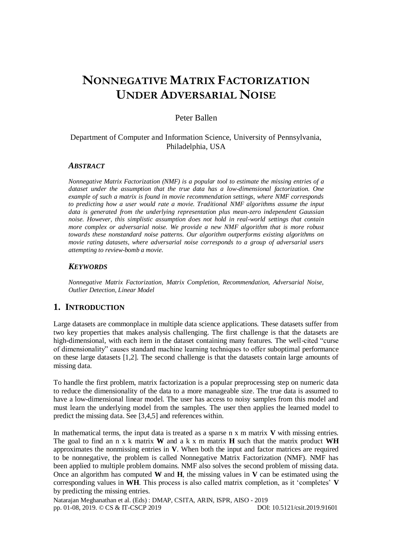# **NONNEGATIVE MATRIX FACTORIZATION UNDER ADVERSARIAL NOISE**

# Peter Ballen

# Department of Computer and Information Science, University of Pennsylvania, Philadelphia, USA

## *ABSTRACT*

*Nonnegative Matrix Factorization (NMF) is a popular tool to estimate the missing entries of a dataset under the assumption that the true data has a low-dimensional factorization. One example of such a matrix is found in movie recommendation settings, where NMF corresponds to predicting how a user would rate a movie. Traditional NMF algorithms assume the input data is generated from the underlying representation plus mean-zero independent Gaussian noise. However, this simplistic assumption does not hold in real-world settings that contain more complex or adversarial noise. We provide a new NMF algorithm that is more robust towards these nonstandard noise patterns. Our algorithm outperforms existing algorithms on movie rating datasets, where adversarial noise corresponds to a group of adversarial users attempting to review-bomb a movie.*

#### *KEYWORDS*

*Nonnegative Matrix Factorization, Matrix Completion, Recommendation, Adversarial Noise, Outlier Detection, Linear Model*

# **1. INTRODUCTION**

Large datasets are commonplace in multiple data science applications. These datasets suffer from two key properties that makes analysis challenging. The first challenge is that the datasets are high-dimensional, with each item in the dataset containing many features. The well-cited "curse of dimensionality" causes standard machine learning techniques to offer suboptimal performance on these large datasets [1,2]. The second challenge is that the datasets contain large amounts of missing data.

To handle the first problem, matrix factorization is a popular preprocessing step on numeric data to reduce the dimensionality of the data to a more manageable size. The true data is assumed to have a low-dimensional linear model. The user has access to noisy samples from this model and must learn the underlying model from the samples. The user then applies the learned model to predict the missing data. See [3,4,5] and references within.

In mathematical terms, the input data is treated as a sparse n x m matrix **V** with missing entries. The goal to find an n x k matrix **W** and a k x m matrix **H** such that the matrix product **WH** approximates the nonmissing entries in **V**. When both the input and factor matrices are required to be nonnegative, the problem is called Nonnegative Matrix Factorization (NMF). NMF has been applied to multiple problem domains. NMF also solves the second problem of missing data. Once an algorithm has computed **W** and **H**, the missing values in **V** can be estimated using the corresponding values in **WH**. This process is also called matrix completion, as it 'completes' **V** by predicting the missing entries.

Natarajan Meghanathan et al. (Eds) : DMAP, CSITA, ARIN, ISPR, AISO - 2019 pp. 01-08, 2019. © CS & IT-CSCP 2019 DOI: 10.5121/csit.2019.91601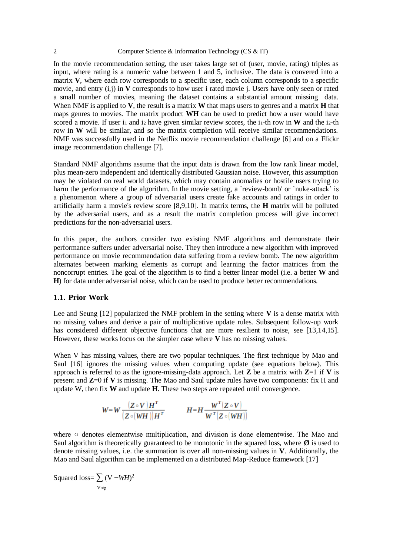In the movie recommendation setting, the user takes large set of (user, movie, rating) triples as input, where rating is a numeric value between 1 and 5, inclusive. The data is convered into a matrix **V**, where each row corresponds to a specific user, each column corresponds to a specific movie, and entry (i,j) in **V** corresponds to how user i rated movie j. Users have only seen or rated a small number of movies, meaning the dataset contains a substantial amount missing data. When NMF is applied to **V**, the result is a matrix **W** that maps users to genres and a matrix **H** that maps genres to movies. The matrix product **WH** can be used to predict how a user would have scored a movie. If user  $i_1$  and  $i_2$  have given similar review scores, the  $i_1$ -th row in **W** and the  $i_2$ -th row in **W** will be similar, and so the matrix completion will receive similar recommendations. NMF was successfully used in the Netflix movie recommendation challenge [6] and on a Flickr image recommendation challenge [7].

Standard NMF algorithms assume that the input data is drawn from the low rank linear model, plus mean-zero independent and identically distributed Gaussian noise. However, this assumption may be violated on real world datasets, which may contain anomalies or hostile users trying to harm the performance of the algorithm. In the movie setting, a 'review-bomb' or 'nuke-attack' is a phenomenon where a group of adversarial users create fake accounts and ratings in order to artificially harm a movie's review score [8,9,10]. In matrix terms, the **H** matrix will be polluted by the adversarial users, and as a result the matrix completion process will give incorrect predictions for the non-adversarial users.

In this paper, the authors consider two existing NMF algorithms and demonstrate their performance suffers under adversarial noise. They then introduce a new algorithm with improved performance on movie recommendation data suffering from a review bomb. The new algorithm alternates between marking elements as corrupt and learning the factor matrices from the noncorrupt entries. The goal of the algorithm is to find a better linear model (i.e. a better **W** and **H**) for data under adversarial noise, which can be used to produce better recommendations.

#### **1.1. Prior Work**

Lee and Seung [12] popularized the NMF problem in the setting where **V** is a dense matrix with no missing values and derive a pair of multiplicative update rules. Subsequent follow-up work has considered different objective functions that are more resilient to noise, see [13,14,15]. However, these works focus on the simpler case where **V** has no missing values.

When V has missing values, there are two popular techniques. The first technique by Mao and Saul [16] ignores the missing values when computing update (see equations below). This approach is referred to as the ignore-missing-data approach. Let  $Z$  be a matrix with  $Z=1$  if  $V$  is present and **Z**=0 if **V** is missing. The Mao and Saul update rules have two components: fix H and update W, then fix **W** and update **H**. These two steps are repeated until convergence.

$$
W=W\frac{(Z\circ V)H^{T}}{(Z\circ (WH))H^{T}} \qquad H=H\frac{W^{T}(Z\circ V)}{W^{T}(Z\circ (WH))}
$$

where ○ denotes elementwise multiplication, and division is done elementwise. The Mao and Saul algorithm is theoretically guaranteed to be monotonic in the squared loss, where  $\emptyset$  is used to denote missing values, i.e. the summation is over all non-missing values in **V**. Additionally, the Mao and Saul algorithm can be implemented on a distributed Map-Reduce framework [17]

Squared loss= $\sum$  (V –*WH*)<sup>2</sup>  $V \neq \emptyset$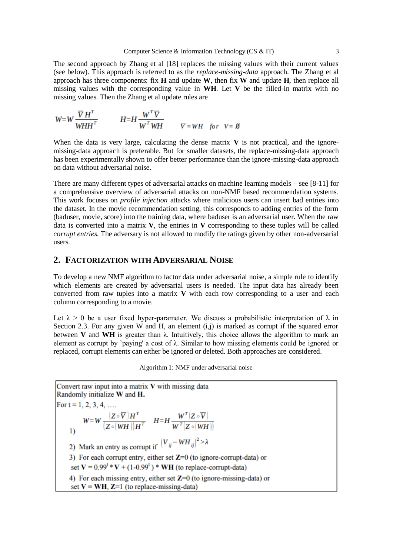The second approach by Zhang et al [18] replaces the missing values with their current values (see below). This approach is referred to as the *replace-missing-data* approach. The Zhang et al approach has three components: fix **H** and update **W**, then fix **W** and update **H**, then replace all missing values with the corresponding value in **WH**. Let **V** be the filled-in matrix with no missing values. Then the Zhang et al update rules are

$$
W=W\frac{\overline{V}H^{T}}{WHH^{T}}
$$
 
$$
H=H\frac{W^{T}\overline{V}}{W^{T}WH}\qquad \overline{V}=WH \quad \text{for} \quad V=\emptyset
$$

When the data is very large, calculating the dense matrix  $V$  is not practical, and the ignoremissing-data approach is preferable. But for smaller datasets, the replace-missing-data approach has been experimentally shown to offer better performance than the ignore-missing-data approach on data without adversarial noise.

There are many different types of adversarial attacks on machine learning models – see  $[8-11]$  for a comprehensive overview of adversarial attacks on non-NMF based recommendation systems. This work focuses on *profile injection* attacks where malicious users can insert bad entries into the dataset. In the movie recommendation setting, this corresponds to adding entries of the form (baduser, movie, score) into the training data, where baduser is an adversarial user. When the raw data is converted into a matrix **V**, the entries in **V** corresponding to these tuples will be called *corrupt entries*. The adversary is not allowed to modify the ratings given by other non-adversarial users.

# **2. FACTORIZATION WITH ADVERSARIAL NOISE**

To develop a new NMF algorithm to factor data under adversarial noise, a simple rule to identify which elements are created by adversarial users is needed. The input data has already been converted from raw tuples into a matrix **V** with each row corresponding to a user and each column corresponding to a movie.

Let  $\lambda > 0$  be a user fixed hyper-parameter. We discuss a probabilistic interpretation of  $\lambda$  in Section 2.3. For any given W and H, an element  $(i,j)$  is marked as corrupt if the squared error between **V** and **WH** is greater than λ. Intuitively, this choice allows the algorithm to mark an element as corrupt by `paying' a cost of  $\lambda$ . Similar to how missing elements could be ignored or replaced, corrupt elements can either be ignored or deleted. Both approaches are considered.

Algorithm 1: NMF under adversarial noise

Convert raw input into a matrix V with missing data Randomly initialize W and H. For  $t = 1, 2, 3, 4, ...$  $W \!=\! W \, \frac{\big(\mbox{$\mathbf Z$} \circ \overline{\mbox{$\mathbf V$}}\big) \mbox{$H$}^T}{\big(\mbox{$\mathbf Z$} \circ \big(\mbox{$\mathbf W$} \mbox{$\mathbf H$}\big) \big) \mbox{$H$}^T} \quad \, H \!=\! H \, \frac{\mbox{$W$}^T \big(\mbox{$\mathbf Z$} \circ \overline{\mbox{$\mathbf V$}}\big)}{\mbox{$W$}^T \big(\mbox{$\mathbf Z$} \circ \big(\mbox{$\mathbf W$} \mbox{$\mathbf H$}\big)\big)}$  $\overline{1}$ 2) Mark an entry as corrupt if  $(V_{ij} - WH_{ij})^2 > \lambda$ 3) For each corrupt entry, either set  $Z=0$  (to ignore-corrupt-data) or set  $V = 0.99^t * V + (1-0.99^t) * WH$  (to replace-corrupt-data) 4) For each missing entry, either set  $Z=0$  (to ignore-missing-data) or set  $V = WH$ ,  $Z=1$  (to replace-missing-data)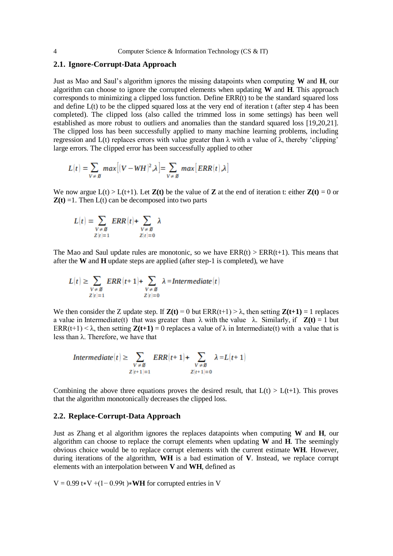### **2.1. Ignore-Corrupt-Data Approach**

Just as Mao and Saul's algorithm ignores the missing datapoints when computing **W** and **H**, our algorithm can choose to ignore the corrupted elements when updating **W** and **H**. This approach corresponds to minimizing a clipped loss function. Define ERR(t) to be the standard squared loss and define L(t) to be the clipped squared loss at the very end of iteration t (after step 4 has been completed). The clipped loss (also called the trimmed loss in some settings) has been well established as more robust to outliers and anomalies than the standard squared loss [19,20,21]. The clipped loss has been successfully applied to many machine learning problems, including regression and L(t) replaces errors with value greater than  $λ$  with a value of  $λ$ , thereby 'clipping' large errors. The clipped error has been successfully applied to other

$$
L(t) = \sum_{V \neq \emptyset} max[(V - WH)^2, \lambda] = \sum_{V \neq \emptyset} max[ERR(t), \lambda]
$$

We now argue  $L(t) > L(t+1)$ . Let  $Z(t)$  be the value of Z at the end of iteration t: either  $Z(t) = 0$  or  $\mathbf{Z}(t) = 1$ . Then  $L(t)$  can be decomposed into two parts

$$
L(t) = \sum_{\substack{V \neq \emptyset \\ Z|t|=1}} ERR(t) + \sum_{\substack{V \neq \emptyset \\ Z|t|=0}} \lambda
$$

The Mao and Saul update rules are monotonic, so we have  $ERR(t) > ERR(t+1)$ . This means that after the **W** and **H** update steps are applied (after step-1 is completed), we have

$$
L(t) \geq \sum_{\substack{V \not\equiv \mathcal{B}\\ Z|t|=1}} \text{ERR}(t+1) + \sum_{\substack{V \not\equiv \mathcal{B}\\ Z|t|=0}} \lambda = \text{Intermediate}(t)
$$

We then consider the Z update step. If  $\mathbf{Z}(t) = 0$  but  $\text{ERR}(t+1) > \lambda$ , then setting  $\mathbf{Z}(t+1) = 1$  replaces a value in Intermediate(t) that was greater than  $\lambda$  with the value  $\lambda$ . Similarly, if  $\mathbf{Z}(t) = 1$  but ERR(t+1) <  $\lambda$ , then setting **Z(t+1)** = 0 replaces a value of  $\lambda$  in Intermediate(t) with a value that is less than λ. Therefore, we have that

$$
Intermediate(t) \geq \sum_{\substack{V \neq \emptyset \\ Z[t+1]=1}}ERR(t+1) + \sum_{\substack{V \neq \emptyset \\ Z[t+1]=0}} \lambda = L(t+1)
$$

Combining the above three equations proves the desired result, that  $L(t) > L(t+1)$ . This proves that the algorithm monotonically decreases the clipped loss.

## **2.2. Replace-Corrupt-Data Approach**

Just as Zhang et al algorithm ignores the replaces datapoints when computing **W** and **H**, our algorithm can choose to replace the corrupt elements when updating **W** and **H**. The seemingly obvious choice would be to replace corrupt elements with the current estimate **WH**. However, during iterations of the algorithm, **WH** is a bad estimation of **V**. Instead, we replace corrupt elements with an interpolation between **V** and **WH**, defined as

 $V = 0.99$  t\*V +(1-0.99t) \*WH for corrupted entries in V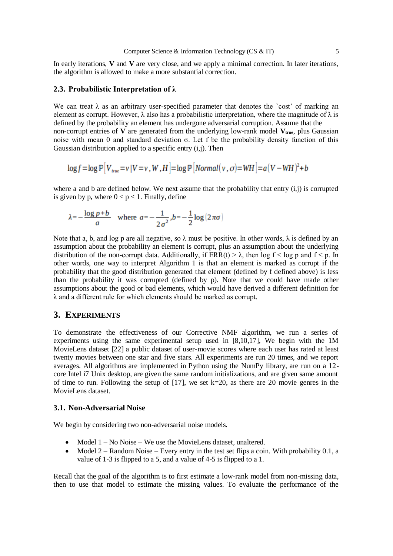In early iterations, **V** and **V** are very close, and we apply a minimal correction. In later iterations, the algorithm is allowed to make a more substantial correction.

#### **2.3. Probabilistic Interpretation of λ**

We can treat  $\lambda$  as an arbitrary user-specified parameter that denotes the 'cost' of marking an element as corrupt. However,  $\lambda$  also has a probabilistic interpretation, where the magnitude of  $\lambda$  is defined by the probability an element has undergone adversarial corruption. Assume that the non-corrupt entries of **V** are generated from the underlying low-rank model **Vtrue**, plus Gaussian noise with mean 0 and standard deviation σ. Let f be the probability density function of this Gaussian distribution applied to a specific entry (i,j). Then

 $\log f = \log \mathbb{P}[V_{true} = v | V = v, W, H] = \log \mathbb{P}[Normal(v, \sigma) = WH] = a(V - WH)^{2} + b$ 

where a and b are defined below. We next assume that the probability that entry  $(i,j)$  is corrupted is given by p, where  $0 < p < 1$ . Finally, define

$$
\lambda = -\frac{\log p + b}{a} \quad \text{where} \quad a = -\frac{1}{2\sigma^2}, b = -\frac{1}{2}\log|2\pi\sigma|
$$

Note that a, b, and log p are all negative, so  $\lambda$  must be positive. In other words,  $\lambda$  is defined by an assumption about the probability an element is corrupt, plus an assumption about the underlying distribution of the non-corrupt data. Additionally, if  $ERR(t) > \lambda$ , then log  $f < log p$  and  $f < p$ . In other words, one way to interpret Algorithm 1 is that an element is marked as corrupt if the probability that the good distribution generated that element (defined by f defined above) is less than the probability it was corrupted (defined by p). Note that we could have made other assumptions about the good or bad elements, which would have derived a different definition for λ and a different rule for which elements should be marked as corrupt.

# **3. EXPERIMENTS**

To demonstrate the effectiveness of our Corrective NMF algorithm, we run a series of experiments using the same experimental setup used in [8,10,17], We begin with the 1M MovieLens dataset [22] a public dataset of user-movie scores where each user has rated at least twenty movies between one star and five stars. All experiments are run 20 times, and we report averages. All algorithms are implemented in Python using the NumPy library, are run on a 12 core Intel i7 Unix desktop, are given the same random initializations, and are given same amount of time to run. Following the setup of  $[17]$ , we set k=20, as there are 20 movie genres in the MovieLens dataset.

## **3.1. Non-Adversarial Noise**

We begin by considering two non-adversarial noise models.

- Model  $1 No Noise We$  use the MovieLens dataset, unaltered.
- Model 2 Random Noise Every entry in the test set flips a coin. With probability 0.1, a value of 1-3 is flipped to a 5, and a value of 4-5 is flipped to a 1.

Recall that the goal of the algorithm is to first estimate a low-rank model from non-missing data, then to use that model to estimate the missing values. To evaluate the performance of the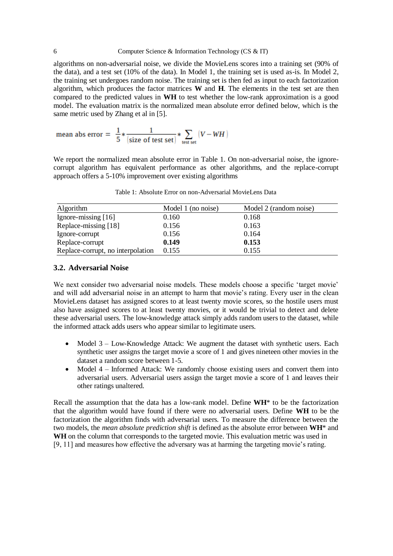algorithms on non-adversarial noise, we divide the MovieLens scores into a training set (90% of the data), and a test set (10% of the data). In Model 1, the training set is used as-is. In Model 2, the training set undergoes random noise. The training set is then fed as input to each factorization algorithm, which produces the factor matrices **W** and **H**. The elements in the test set are then compared to the predicted values in **WH** to test whether the low-rank approximation is a good model. The evaluation matrix is the normalized mean absolute error defined below, which is the same metric used by Zhang et al in [5].

mean abs error = 
$$
\frac{1}{5} * \frac{1}{(\text{size of test set})} * \sum_{\text{test set}} (V - WH)
$$

We report the normalized mean absolute error in Table 1. On non-adversarial noise, the ignorecorrupt algorithm has equivalent performance as other algorithms, and the replace-corrupt approach offers a 5-10% improvement over existing algorithms

Table 1: Absolute Error on non-Adversarial MovieLens Data

| Algorithm                         | Model 1 (no noise) | Model 2 (random noise) |
|-----------------------------------|--------------------|------------------------|
| Ignore-missing [16]               | 0.160              | 0.168                  |
| Replace-missing [18]              | 0.156              | 0.163                  |
| Ignore-corrupt                    | 0.156              | 0.164                  |
| Replace-corrupt                   | 0.149              | 0.153                  |
| Replace-corrupt, no interpolation | 0.155              | 0.155                  |

#### **3.2. Adversarial Noise**

We next consider two adversarial noise models. These models choose a specific 'target movie' and will add adversarial noise in an attempt to harm that movie's rating. Every user in the clean MovieLens dataset has assigned scores to at least twenty movie scores, so the hostile users must also have assigned scores to at least twenty movies, or it would be trivial to detect and delete these adversarial users. The low-knowledge attack simply adds random users to the dataset, while the informed attack adds users who appear similar to legitimate users.

- Model 3 Low-Knowledge Attack: We augment the dataset with synthetic users. Each synthetic user assigns the target movie a score of 1 and gives nineteen other movies in the dataset a random score between 1-5.
- Model 4 Informed Attack: We randomly choose existing users and convert them into adversarial users. Adversarial users assign the target movie a score of 1 and leaves their other ratings unaltered.

Recall the assumption that the data has a low-rank model. Define **WH**\* to be the factorization that the algorithm would have found if there were no adversarial users. Define **WH** to be the factorization the algorithm finds with adversarial users. To measure the difference between the two models, the *mean absolute prediction shift* is defined as the absolute error between **WH**\* and WH on the column that corresponds to the targeted movie. This evaluation metric was used in [9, 11] and measures how effective the adversary was at harming the targeting movie's rating.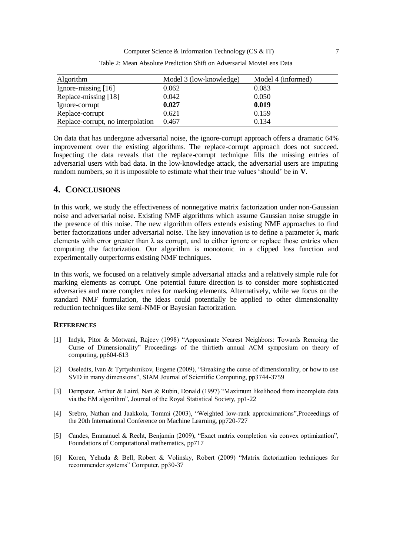| Algorithm                         | Model 3 (low-knowledge) | Model 4 (informed) |
|-----------------------------------|-------------------------|--------------------|
| Ignore-missing $[16]$             | 0.062                   | 0.083              |
| Replace-missing [18]              | 0.042                   | 0.050              |
| Ignore-corrupt                    | 0.027                   | 0.019              |
| Replace-corrupt                   | 0.621                   | 0.159              |
| Replace-corrupt, no interpolation | 0.467                   | 0.134              |

Table 2: Mean Absolute Prediction Shift on Adversarial MovieLens Data

On data that has undergone adversarial noise, the ignore-corrupt approach offers a dramatic 64% improvement over the existing algorithms. The replace-corrupt approach does not succeed. Inspecting the data reveals that the replace-corrupt technique fills the missing entries of adversarial users with bad data. In the low-knowledge attack, the adversarial users are imputing random numbers, so it is impossible to estimate what their true values 'should' be in **V**.

# **4. CONCLUSIONS**

In this work, we study the effectiveness of nonnegative matrix factorization under non-Gaussian noise and adversarial noise. Existing NMF algorithms which assume Gaussian noise struggle in the presence of this noise. The new algorithm offers extends existing NMF approaches to find better factorizations under adversarial noise. The key innovation is to define a parameter λ, mark elements with error greater than  $\lambda$  as corrupt, and to either ignore or replace those entries when computing the factorization. Our algorithm is monotonic in a clipped loss function and experimentally outperforms existing NMF techniques.

In this work, we focused on a relatively simple adversarial attacks and a relatively simple rule for marking elements as corrupt. One potential future direction is to consider more sophisticated adversaries and more complex rules for marking elements. Alternatively, while we focus on the standard NMF formulation, the ideas could potentially be applied to other dimensionality reduction techniques like semi-NMF or Bayesian factorization.

### **REFERENCES**

- [1] Indyk, Pitor & Motwani, Rajeev (1998) "Approximate Nearest Neighbors: Towards Remoing the Curse of Dimensionality" Proceedings of the thirtieth annual ACM symposium on theory of computing, pp604-613
- [2] Oseledts, Ivan & Tyrtyshinikov, Eugene (2009), "Breaking the curse of dimensionality, or how to use SVD in many dimensions", SIAM Journal of Scientific Computing, pp3744-3759
- [3] Dempster, Arthur & Laird, Nan & Rubin, Donald (1997) "Maximum likelihood from incomplete data via the EM algorithm", Journal of the Royal Statistical Society, pp1-22
- [4] Srebro, Nathan and Jaakkola, Tommi (2003), "Weighted low-rank approximations",Proceedings of the 20th International Conference on Machine Learning, pp720-727
- [5] Candes, Emmanuel & Recht, Benjamin (2009), "Exact matrix completion via convex optimization", Foundations of Computational mathematics, pp717
- [6] Koren, Yehuda & Bell, Robert & Volinsky, Robert (2009) "Matrix factorization techniques for recommender systems" Computer, pp30-37